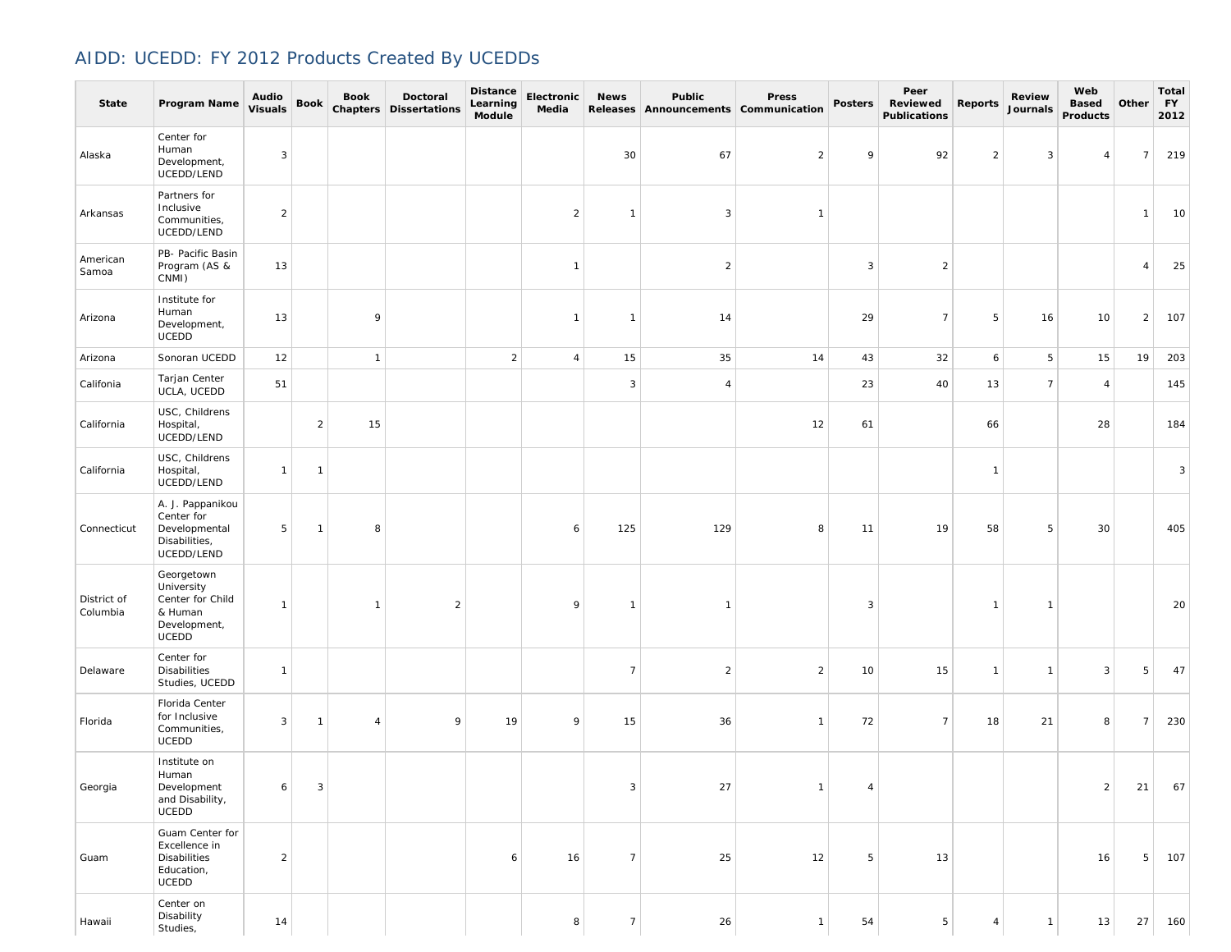## AIDD: UCEDD: FY 2012 Products Created By UCEDDs

| <b>State</b>            | Program Name                                                                            | Audio<br><b>Visuals</b> | Book           | <b>Book</b>    | Doctoral<br><b>Chapters Dissertations</b> | Distance<br>Learning<br>Module | Electronic<br>Media | <b>News</b>    | Public<br>Releases Announcements Communication | Press          | <b>Posters</b> | Peer<br>Reviewed<br><b>Publications</b> | <b>Reports</b> | <b>Review</b><br>Journals | Web<br><b>Based</b><br>Products | Other          | Total<br><b>FY</b><br>2012 |
|-------------------------|-----------------------------------------------------------------------------------------|-------------------------|----------------|----------------|-------------------------------------------|--------------------------------|---------------------|----------------|------------------------------------------------|----------------|----------------|-----------------------------------------|----------------|---------------------------|---------------------------------|----------------|----------------------------|
| Alaska                  | Center for<br>Human<br>Development,<br>UCEDD/LEND                                       | 3                       |                |                |                                           |                                |                     | 30             | 67                                             | $\overline{2}$ | 9              | 92                                      | $\overline{2}$ | 3                         | $\overline{4}$                  | $\overline{7}$ | 219                        |
| Arkansas                | Partners for<br>Inclusive<br>Communities,<br>UCEDD/LEND                                 | $\overline{2}$          |                |                |                                           |                                | $\overline{2}$      | $\mathbf{1}$   | 3                                              | $\mathbf{1}$   |                |                                         |                |                           |                                 | $\mathbf{1}$   | 10                         |
| American<br>Samoa       | PB- Pacific Basin<br>Program (AS &<br>CNMI)                                             | 13                      |                |                |                                           |                                | $\mathbf{1}$        |                | $\overline{2}$                                 |                | 3              | $\overline{2}$                          |                |                           |                                 | $\overline{4}$ | 25                         |
| Arizona                 | Institute for<br>Human<br>Development,<br>UCEDD                                         | 13                      |                | 9              |                                           |                                | $\mathbf{1}$        | $\mathbf{1}$   | 14                                             |                | 29             | $\overline{7}$                          | 5              | 16                        | 10                              | $\overline{2}$ | 107                        |
| Arizona                 | Sonoran UCEDD                                                                           | 12                      |                | $\mathbf{1}$   |                                           | $\overline{a}$                 | $\overline{4}$      | 15             | 35                                             | 14             | 43             | 32                                      | 6              | 5                         | 15                              | 19             | 203                        |
| Califonia               | Tarjan Center<br>UCLA, UCEDD                                                            | 51                      |                |                |                                           |                                |                     | 3              | $\overline{4}$                                 |                | 23             | 40                                      | 13             | $\overline{7}$            | $\overline{4}$                  |                | 145                        |
| California              | USC, Childrens<br>Hospital,<br>UCEDD/LEND                                               |                         | $\overline{a}$ | 15             |                                           |                                |                     |                |                                                | 12             | 61             |                                         | 66             |                           | 28                              |                | 184                        |
| California              | USC, Childrens<br>Hospital,<br>UCEDD/LEND                                               | $\mathbf{1}$            | $\mathbf{1}$   |                |                                           |                                |                     |                |                                                |                |                |                                         | $\mathbf{1}$   |                           |                                 |                | 3                          |
| Connecticut             | A. J. Pappanikou<br>Center for<br>Developmental<br>Disabilities,<br>UCEDD/LEND          | 5                       | $\mathbf{1}$   | 8              |                                           |                                | 6                   | 125            | 129                                            | 8              | 11             | 19                                      | 58             | 5                         | 30                              |                | 405                        |
| District of<br>Columbia | Georgetown<br>University<br>Center for Child<br>& Human<br>Development,<br><b>UCEDD</b> | $\mathbf{1}$            |                | -1             | $\overline{2}$                            |                                | 9                   | $\mathbf{1}$   | $\mathbf{1}$                                   |                | 3              |                                         | $\mathbf{1}$   | $\overline{1}$            |                                 |                | 20                         |
| Delaware                | Center for<br><b>Disabilities</b><br>Studies, UCEDD                                     | $\mathbf{1}$            |                |                |                                           |                                |                     | $\overline{7}$ | $\overline{2}$                                 | $\overline{2}$ | 10             | 15                                      | $\mathbf{1}$   | $\overline{1}$            | 3                               | 5              | 47                         |
| Florida                 | Florida Center<br>for Inclusive<br>Communities,<br><b>UCEDD</b>                         | 3                       | $\mathbf{1}$   | $\overline{4}$ | 9                                         | 19                             | 9                   | 15             | 36                                             | $\mathbf{1}$   | 72             | $\overline{7}$                          | 18             | 21                        | 8                               | $\overline{7}$ | 230                        |
| Georgia                 | Institute on<br>Human<br>Development<br>and Disability,<br><b>UCEDD</b>                 | 6                       | 3              |                |                                           |                                |                     | 3              | 27                                             | $\overline{1}$ | 4              |                                         |                |                           | $\overline{2}$                  | 21             | 67                         |
| Guam                    | Guam Center for<br>Excellence in<br>Disabilities<br>Education,<br>UCEDD                 | $\overline{2}$          |                |                |                                           | 6                              | 16                  | $\overline{7}$ | 25                                             | 12             | 5              | 13                                      |                |                           | 16                              | 5              | 107                        |
| Hawaii                  | Center on<br>Disability<br>Studies,                                                     | 14                      |                |                |                                           |                                | 8                   | $\overline{7}$ | 26                                             | $\mathbf{1}$   | 54             | $5\phantom{.0}$                         | $\overline{4}$ | $\overline{1}$            | 13                              | 27             | 160                        |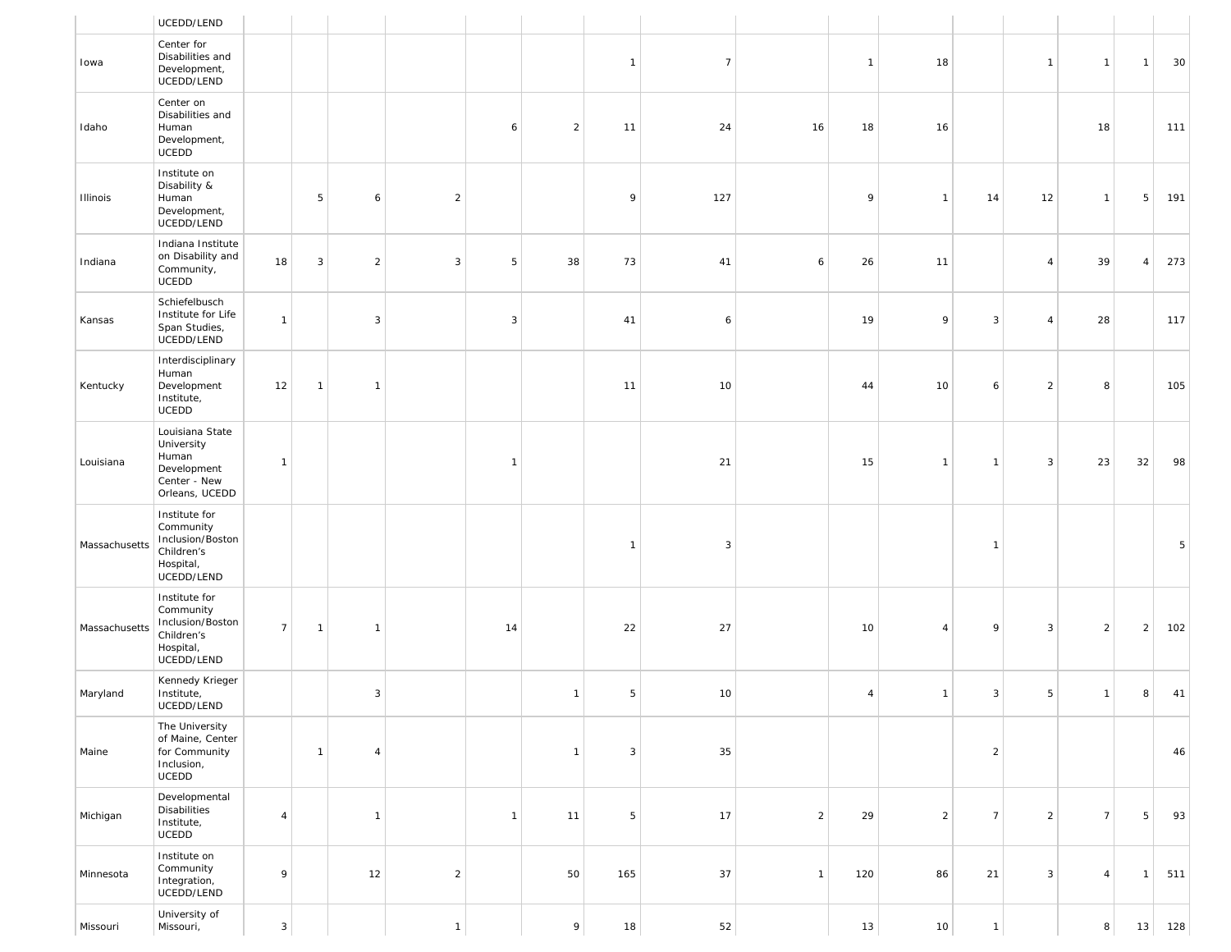|               | UCEDD/LEND                                                                              |                |              |                |                |              |                |              |                |                |                |                |                 |                |                |                |     |
|---------------|-----------------------------------------------------------------------------------------|----------------|--------------|----------------|----------------|--------------|----------------|--------------|----------------|----------------|----------------|----------------|-----------------|----------------|----------------|----------------|-----|
| Iowa          | Center for<br>Disabilities and<br>Development,<br>UCEDD/LEND                            |                |              |                |                |              |                | $\mathbf{1}$ | $\overline{7}$ |                | $\mathbf{1}$   | 18             |                 | $\mathbf{1}$   | $\overline{1}$ | $\mathbf{1}$   | 30  |
| Idaho         | Center on<br>Disabilities and<br>Human<br>Development,<br>UCEDD                         |                |              |                |                | 6            | $\overline{2}$ | 11           | 24             | 16             | 18             | 16             |                 |                | 18             |                | 111 |
| Illinois      | Institute on<br>Disability &<br>Human<br>Development,<br>UCEDD/LEND                     |                | 5            | 6              | $\overline{2}$ |              |                | 9            | 127            |                | 9              | $\overline{1}$ | 14              | 12             | $\overline{1}$ | 5              | 191 |
| Indiana       | Indiana Institute<br>on Disability and<br>Community,<br>UCEDD                           | 18             | 3            | $\overline{2}$ | 3              | 5            | 38             | 73           | 41             | 6              | 26             | 11             |                 | $\overline{4}$ | 39             | $\overline{4}$ | 273 |
| Kansas        | Schiefelbusch<br>Institute for Life<br>Span Studies,<br>UCEDD/LEND                      | $\mathbf{1}$   |              | 3              |                | 3            |                | 41           | 6              |                | 19             | 9              | 3               | $\overline{4}$ | 28             |                | 117 |
| Kentucky      | Interdisciplinary<br>Human<br>Development<br>Institute,<br>UCEDD                        | 12             | $\mathbf{1}$ | $\mathbf{1}$   |                |              |                | 11           | 10             |                | 44             | 10             | 6               | $\overline{2}$ | 8              |                | 105 |
| Louisiana     | Louisiana State<br>University<br>Human<br>Development<br>Center - New<br>Orleans, UCEDD | $\mathbf{1}$   |              |                |                | $\mathbf{1}$ |                |              | 21             |                | 15             | $\overline{1}$ | $\mathbf{1}$    | 3              | 23             | 32             | 98  |
| Massachusetts | Institute for<br>Community<br>Inclusion/Boston<br>Children's<br>Hospital,<br>UCEDD/LEND |                |              |                |                |              |                | $\mathbf{1}$ | $\mathbf{3}$   |                |                |                | $\mathbf{1}$    |                |                |                | 5   |
| Massachusetts | Institute for<br>Community<br>Inclusion/Boston<br>Children's<br>Hospital,<br>UCEDD/LEND | $\overline{7}$ | $\mathbf{1}$ | $\mathbf{1}$   |                | 14           |                | 22           | 27             |                | 10             | $\overline{4}$ | 9               | 3              | $\overline{2}$ | $\overline{2}$ | 102 |
| Maryland      | Kennedy Krieger<br>Institute,<br>UCEDD/LEND                                             |                |              | 3              |                |              | $\mathbf{1}$   | 5            | 10             |                | $\overline{4}$ | $\overline{1}$ | 3               | 5              | $\overline{1}$ | 8              | 41  |
| Maine         | The University<br>of Maine, Center<br>for Community<br>Inclusion,<br>UCEDD              |                | $\mathbf{1}$ | $\overline{4}$ |                |              | $\mathbf{1}$   | 3            | 35             |                |                |                | $\overline{a}$  |                |                |                | 46  |
| Michigan      | Developmental<br><b>Disabilities</b><br>Institute,<br>UCEDD                             | $\overline{4}$ |              | $\mathbf{1}$   |                | $\mathbf{1}$ | 11             | 5            | 17             | $\overline{2}$ | 29             | $\overline{2}$ | $7\overline{ }$ | $\overline{2}$ | $\overline{7}$ | 5              | 93  |
| Minnesota     | Institute on<br>Community<br>Integration,<br>UCEDD/LEND                                 | 9              |              | 12             | $\overline{2}$ |              | 50             | 165          | 37             | $\mathbf{1}$   | 120            | 86             | 21              | $\mathbf{3}$   | $\overline{4}$ | $\mathbf{1}$   | 511 |
| Missouri      | University of<br>Missouri,                                                              | $\mathbf{3}$   |              |                | $\overline{1}$ |              | 9              | 18           | 52             |                | 13             | 10             | $\mathbf{1}$    |                | 8              | 13             | 128 |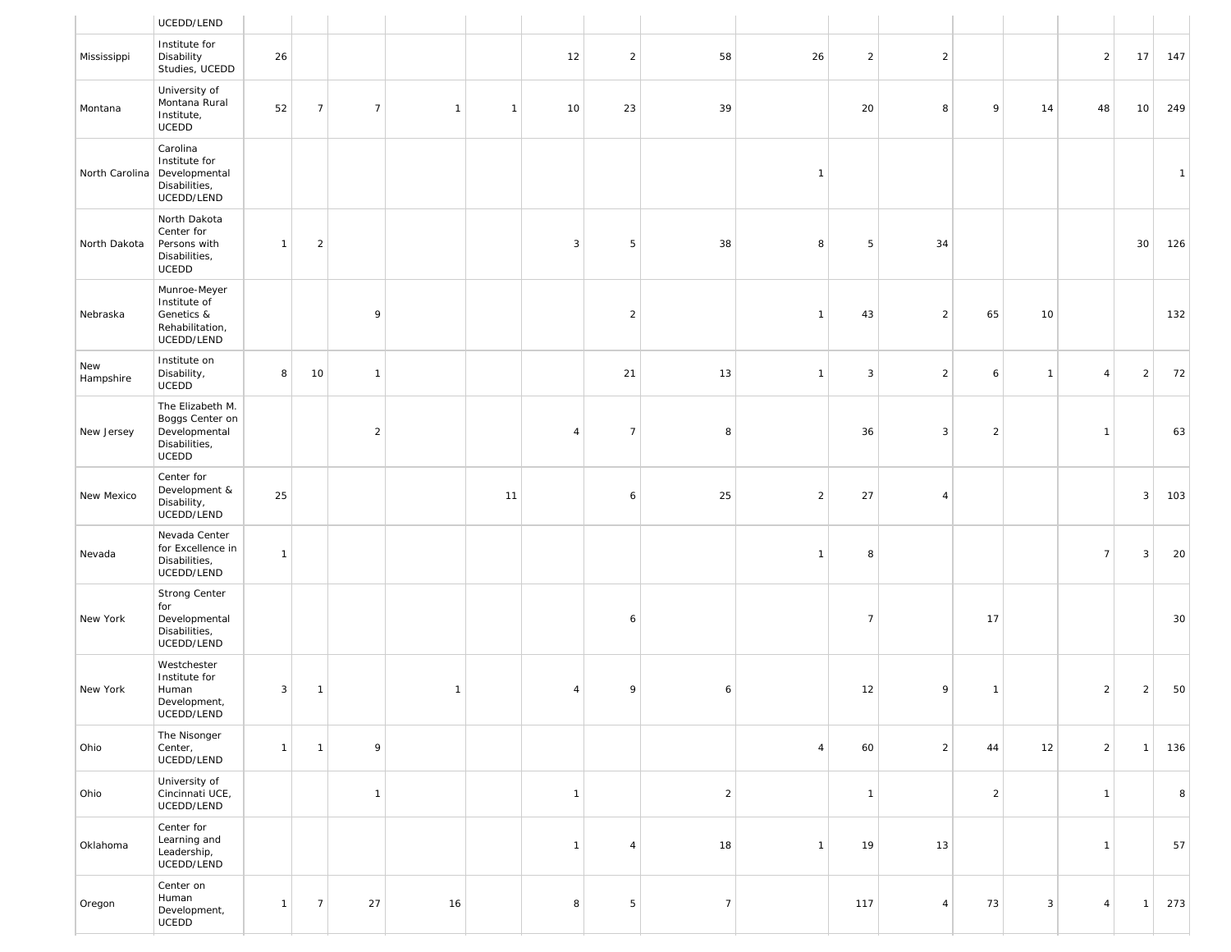|                  | UCEDD/LEND                                                                     |              |                |                |                |              |                |                |                |                |                |                |                |                |                 |              |              |
|------------------|--------------------------------------------------------------------------------|--------------|----------------|----------------|----------------|--------------|----------------|----------------|----------------|----------------|----------------|----------------|----------------|----------------|-----------------|--------------|--------------|
| Mississippi      | Institute for<br>Disability<br>Studies, UCEDD                                  | 26           |                |                |                |              | 12             | $\overline{2}$ | 58             | 26             | $\overline{2}$ | $\overline{2}$ |                |                | $\overline{2}$  | 17           | 147          |
| Montana          | University of<br>Montana Rural<br>Institute,<br>UCEDD                          | 52           | $\overline{7}$ | $\overline{7}$ | $\overline{1}$ | $\mathbf{1}$ | 10             | 23             | 39             |                | 20             | 8              | 9              | 14             | 48              | 10           | 249          |
| North Carolina   | Carolina<br>Institute for<br>Developmental<br>Disabilities,<br>UCEDD/LEND      |              |                |                |                |              |                |                |                | $\mathbf{1}$   |                |                |                |                |                 |              | $\mathbf{1}$ |
| North Dakota     | North Dakota<br>Center for<br>Persons with<br>Disabilities,<br>UCEDD           | $\mathbf{1}$ | $\sqrt{2}$     |                |                |              | $\mathbf{3}$   | 5              | 38             | 8              | 5              | 34             |                |                |                 | 30           | 126          |
| Nebraska         | Munroe-Meyer<br>Institute of<br>Genetics &<br>Rehabilitation,<br>UCEDD/LEND    |              |                | 9              |                |              |                | $\overline{2}$ |                | $\mathbf{1}$   | 43             | $\sqrt{2}$     | 65             | 10             |                 |              | 132          |
| New<br>Hampshire | Institute on<br>Disability,<br>UCEDD                                           | 8            | 10             | $\mathbf{1}$   |                |              |                | 21             | 13             | $\mathbf{1}$   | 3              | $\overline{2}$ | 6              | $\overline{1}$ | $\overline{4}$  | $\sqrt{2}$   | 72           |
| New Jersey       | The Elizabeth M.<br>Boggs Center on<br>Developmental<br>Disabilities,<br>UCEDD |              |                | $\overline{2}$ |                |              | $\overline{4}$ | $\overline{7}$ | 8              |                | 36             | 3              | $\overline{2}$ |                | $\mathbf{1}$    |              | 63           |
| New Mexico       | Center for<br>Development &<br>Disability,<br>UCEDD/LEND                       | 25           |                |                |                | 11           |                | 6              | 25             | $\overline{2}$ | 27             | $\overline{4}$ |                |                |                 | 3            | 103          |
| Nevada           | Nevada Center<br>for Excellence in<br>Disabilities,<br>UCEDD/LEND              | $\mathbf{1}$ |                |                |                |              |                |                |                | $\mathbf{1}$   | 8              |                |                |                | $7\overline{ }$ | 3            | 20           |
| New York         | Strong Center<br>for<br>Developmental<br>Disabilities,<br>UCEDD/LEND           |              |                |                |                |              |                | 6              |                |                | $\overline{7}$ |                | 17             |                |                 |              | 30           |
| New York         | Westchester<br>Institute for<br>Human<br>Development,<br>UCEDD/LEND            | 3            | $\mathbf{1}$   |                | $\mathbf{1}$   |              | $\overline{4}$ | 9              | 6              |                | 12             | 9              | $\mathbf{1}$   |                | $\overline{2}$  | $\mathbf{2}$ | 50           |
| Ohio             | The Nisonger<br>Center,<br>UCEDD/LEND                                          | $\mathbf{1}$ | $\mathbf{1}$   | 9              |                |              |                |                |                | $\overline{4}$ | 60             | $\overline{2}$ | 44             | 12             | 2               | $\mathbf{1}$ | 136          |
| Ohio             | University of<br>Cincinnati UCE,<br>UCEDD/LEND                                 |              |                | $\mathbf{1}$   |                |              | $\mathbf{1}$   |                | $\overline{c}$ |                | $\overline{1}$ |                | $\overline{2}$ |                | $\mathbf{1}$    |              | 8            |
| Oklahoma         | Center for<br>Learning and<br>Leadership,<br>UCEDD/LEND                        |              |                |                |                |              | $\mathbf{1}$   | $\overline{4}$ | 18             | $\mathbf{1}$   | 19             | 13             |                |                | $\mathbf{1}$    |              | 57           |
| Oregon           | Center on<br>Human<br>Development,<br>UCEDD                                    | $\mathbf{1}$ | $\overline{7}$ | 27             | 16             |              | 8              | 5              | $\overline{7}$ |                | 117            | $\overline{4}$ | 73             | $\mathbf{3}$   | $\overline{4}$  | $\mathbf{1}$ | 273          |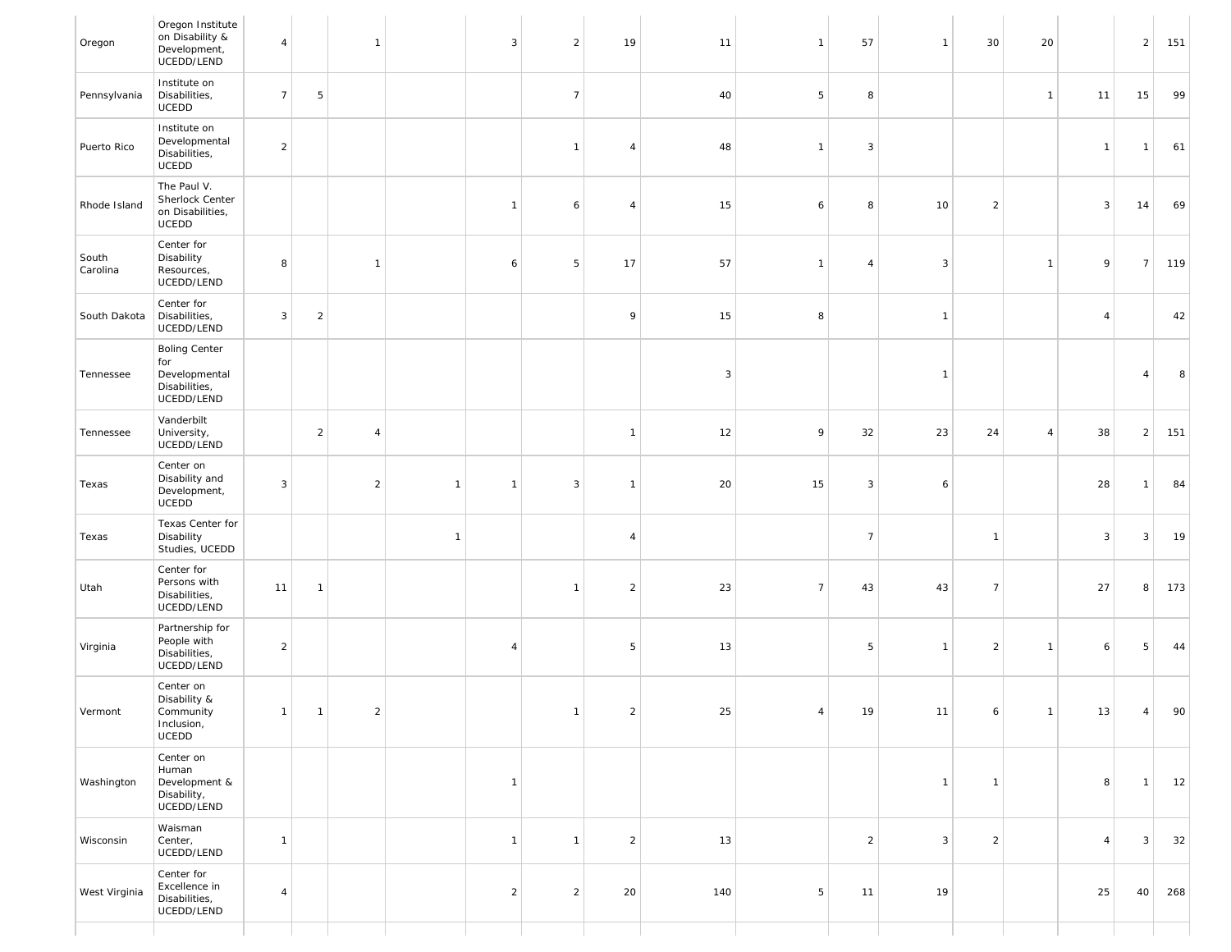| Oregon            | Oregon Institute<br>on Disability &<br>Development,<br>UCEDD/LEND           | $\overline{4}$ |                | $\mathbf{1}$   |                | 3              | $\overline{2}$ | 19             | 11           | $\overline{1}$ | 57             | $\overline{1}$ | 30             | 20             |                | $\overline{2}$ | 151 |
|-------------------|-----------------------------------------------------------------------------|----------------|----------------|----------------|----------------|----------------|----------------|----------------|--------------|----------------|----------------|----------------|----------------|----------------|----------------|----------------|-----|
| Pennsylvania      | Institute on<br>Disabilities,<br>UCEDD                                      | $\overline{7}$ | 5              |                |                |                | $\overline{7}$ |                | 40           | 5              | 8              |                |                | $\mathbf{1}$   | 11             | 15             | 99  |
| Puerto Rico       | Institute on<br>Developmental<br>Disabilities,<br>UCEDD                     | $\overline{a}$ |                |                |                |                | $\overline{1}$ | $\overline{4}$ | 48           | $\mathbf{1}$   | 3              |                |                |                | $\overline{1}$ | $\overline{1}$ | 61  |
| Rhode Island      | The Paul V.<br>Sherlock Center<br>on Disabilities,<br>UCEDD                 |                |                |                |                | $\mathbf{1}$   | 6              | 4              | 15           | 6              | 8              | 10             | $\overline{a}$ |                | 3              | 14             | 69  |
| South<br>Carolina | Center for<br>Disability<br>Resources,<br>UCEDD/LEND                        | 8              |                | $\mathbf{1}$   |                | 6              | 5              | 17             | 57           | $\mathbf{1}$   | 4              | $\overline{3}$ |                | $\mathbf{1}$   | 9              | $\overline{7}$ | 119 |
| South Dakota      | Center for<br>Disabilities,<br>UCEDD/LEND                                   | 3              | $\overline{2}$ |                |                |                |                | 9              | 15           | 8              |                | $\overline{1}$ |                |                | $\overline{4}$ |                | 42  |
| Tennessee         | <b>Boling Center</b><br>for<br>Developmental<br>Disabilities,<br>UCEDD/LEND |                |                |                |                |                |                |                | $\mathbf{3}$ |                |                | $\overline{1}$ |                |                |                | $\overline{4}$ | 8   |
| Tennessee         | Vanderbilt<br>University,<br>UCEDD/LEND                                     |                | $\overline{2}$ | 4              |                |                |                | $\mathbf{1}$   | 12           | 9              | 32             | 23             | 24             | $\overline{4}$ | 38             | $\overline{2}$ | 151 |
| Texas             | Center on<br>Disability and<br>Development,<br>UCEDD                        | 3              |                | $\overline{a}$ | $\mathbf{1}$   | $\overline{1}$ | 3              | $\mathbf{1}$   | 20           | 15             | 3              | 6              |                |                | 28             | $\overline{1}$ | 84  |
| Texas             | Texas Center for<br>Disability<br>Studies, UCEDD                            |                |                |                | $\overline{1}$ |                |                | $\overline{4}$ |              |                | $\overline{7}$ |                | $\overline{1}$ |                | $\mathbf{3}$   | $\mathbf{3}$   | 19  |
| Utah              | Center for<br>Persons with<br>Disabilities,<br>UCEDD/LEND                   | 11             | $\mathbf{1}$   |                |                |                | $\overline{1}$ | $\overline{a}$ | 23           | $\overline{7}$ | 43             | 43             | $\overline{7}$ |                | 27             | 8              | 173 |
| Virginia          | Partnership for<br>People with<br>Disabilities,<br>UCEDD/LEND               | $\overline{2}$ |                |                |                | $\overline{4}$ |                | 5              | 13           |                | 5              | $\overline{1}$ | $\overline{2}$ | $\mathbf{1}$   | 6              | 5              | 44  |
| Vermont           | Center on<br>Disability &<br>Community<br>Inclusion,<br>UCEDD               | $\vert$ 1      | $\vert$ 1      | $\overline{2}$ |                |                | $\overline{1}$ | $\overline{2}$ | 25           | $\overline{4}$ | 19             | 11             | 6              | $\vert$ 1      | 13             | 4              | 90  |
| Washington        | Center on<br>Human<br>Development &<br>Disability,<br>UCEDD/LEND            |                |                |                |                | $\mathbf{1}$   |                |                |              |                |                | $\overline{1}$ | $\overline{1}$ |                | 8              | $\overline{1}$ | 12  |
| Wisconsin         | Waisman<br>Center,<br>UCEDD/LEND                                            | $\mathbf{1}$   |                |                |                | $\mathbf{1}$   | $\overline{1}$ | $\overline{2}$ | 13           |                | $\overline{2}$ | $\overline{3}$ | $\overline{2}$ |                | $\overline{4}$ | $\mathbf{3}$   | 32  |
| West Virginia     | Center for<br>Excellence in<br>Disabilities,<br>UCEDD/LEND                  | $\overline{4}$ |                |                |                | $\overline{2}$ | $\overline{2}$ | 20             | 140          | 5              | 11             | 19             |                |                | 25             | 40             | 268 |